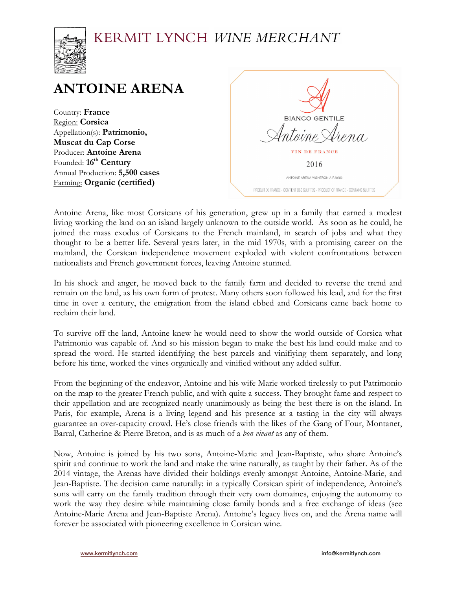## KERMIT LYNCH WINE MERCHANT



# **ANTOINE ARENA**

Country: **France** Region: **Corsica** Appellation(s): **Patrimonio, Muscat du Cap Corse** Producer: **Antoine Arena** Founded:  $16<sup>th</sup>$  **Century** Annual Production: **5,500 cases** Farming: **Organic (certified)**

| <b>BIANCO GENTILE</b>                                                             |  |
|-----------------------------------------------------------------------------------|--|
| <sup>l</sup> ntoine Ar <i>ena</i>                                                 |  |
| VIN DE FRANCE                                                                     |  |
| 2016                                                                              |  |
| ANTOINE ARENA VIGNERON A F 20253                                                  |  |
| PRODUIT DE FRANCE - CONTIENT DES SULFITES - PRODUCT OF FRANCE - CONTAINS SULFITES |  |

Antoine Arena, like most Corsicans of his generation, grew up in a family that earned a modest living working the land on an island largely unknown to the outside world. As soon as he could, he joined the mass exodus of Corsicans to the French mainland, in search of jobs and what they thought to be a better life. Several years later, in the mid 1970s, with a promising career on the mainland, the Corsican independence movement exploded with violent confrontations between nationalists and French government forces, leaving Antoine stunned.

In his shock and anger, he moved back to the family farm and decided to reverse the trend and remain on the land, as his own form of protest. Many others soon followed his lead, and for the first time in over a century, the emigration from the island ebbed and Corsicans came back home to reclaim their land.

To survive off the land, Antoine knew he would need to show the world outside of Corsica what Patrimonio was capable of. And so his mission began to make the best his land could make and to spread the word. He started identifying the best parcels and vinifiying them separately, and long before his time, worked the vines organically and vinified without any added sulfur.

From the beginning of the endeavor, Antoine and his wife Marie worked tirelessly to put Patrimonio on the map to the greater French public, and with quite a success. They brought fame and respect to their appellation and are recognized nearly unanimously as being the best there is on the island. In Paris, for example, Arena is a living legend and his presence at a tasting in the city will always guarantee an over-capacity crowd. He's close friends with the likes of the Gang of Four, Montanet, Barral, Catherine & Pierre Breton, and is as much of a *bon vivant* as any of them.

Now, Antoine is joined by his two sons, Antoine-Marie and Jean-Baptiste, who share Antoine's spirit and continue to work the land and make the wine naturally, as taught by their father. As of the 2014 vintage, the Arenas have divided their holdings evenly amongst Antoine, Antoine-Marie, and Jean-Baptiste. The decision came naturally: in a typically Corsican spirit of independence, Antoine's sons will carry on the family tradition through their very own domaines, enjoying the autonomy to work the way they desire while maintaining close family bonds and a free exchange of ideas (see Antoine-Marie Arena and Jean-Baptiste Arena). Antoine's legacy lives on, and the Arena name will forever be associated with pioneering excellence in Corsican wine.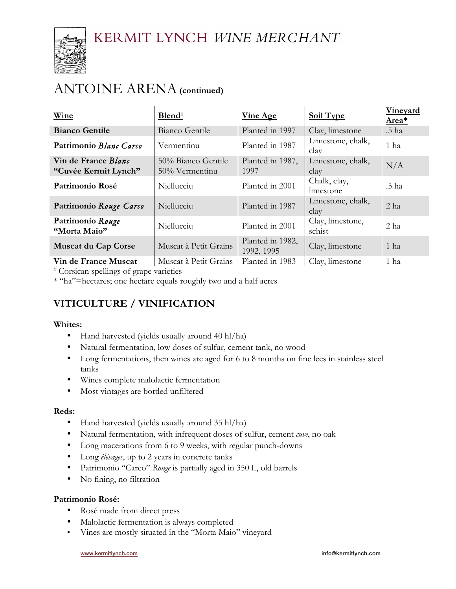

# ANTOINE ARENA**(continued)**

| Wine                                        | Blend <sup>1</sup>                   | <b>Vine Age</b>                | Soil Type                  | Vineyard<br>Area* |
|---------------------------------------------|--------------------------------------|--------------------------------|----------------------------|-------------------|
| <b>Bianco Gentile</b>                       | Bianco Gentile                       | Planted in 1997                | Clay, limestone            | .5 ha             |
| Patrimonio Blanc Carco                      | Vermentinu                           | Planted in 1987                | Limestone, chalk,<br>clay  | 1 ha              |
| Vin de France Blanc<br>"Cuvée Kermit Lynch" | 50% Bianco Gentile<br>50% Vermentinu | Planted in 1987,<br>1997       | Limestone, chalk,<br>clay  | N/A               |
| Patrimonio Rosé                             | Niellucciu                           | Planted in 2001                | Chalk, clay,<br>limestone  | .5 ha             |
| Patrimonio Rouge Carco                      | Niellucciu                           | Planted in 1987                | Limestone, chalk,<br>clay  | 2 <sub>ha</sub>   |
| Patrimonio Rouge<br>"Morta Maio"            | Niellucciu                           | Planted in 2001                | Clay, limestone,<br>schist | 2 ha              |
| <b>Muscat du Cap Corse</b>                  | Muscat à Petit Grains                | Planted in 1982,<br>1992, 1995 | Clay, limestone            | 1 ha              |
| Vin de France Muscat                        | Muscat à Petit Grains                | Planted in 1983                | Clay, limestone            | 1 ha              |

<sup>1</sup> Corsican spellings of grape varieties

\* "ha"=hectares; one hectare equals roughly two and a half acres

### **VITICULTURE / VINIFICATION**

### **Whites:**

- Hand harvested (yields usually around 40 hl/ha)
- Natural fermentation, low doses of sulfur, cement tank, no wood
- Long fermentations, then wines are aged for 6 to 8 months on fine lees in stainless steel tanks
- Wines complete malolactic fermentation
- Most vintages are bottled unfiltered

### **Reds:**

- Hand harvested (yields usually around 35 hl/ha)
- Natural fermentation, with infrequent doses of sulfur, cement *cuve*, no oak
- Long macerations from 6 to 9 weeks, with regular punch-downs
- Long *élévages*, up to 2 years in concrete tanks
- Patrimonio "Carco" *Rouge* is partially aged in 350 L, old barrels
- No fining, no filtration

### **Patrimonio Rosé:**

- Rosé made from direct press
- Malolactic fermentation is always completed
- Vines are mostly situated in the "Morta Maio" vineyard